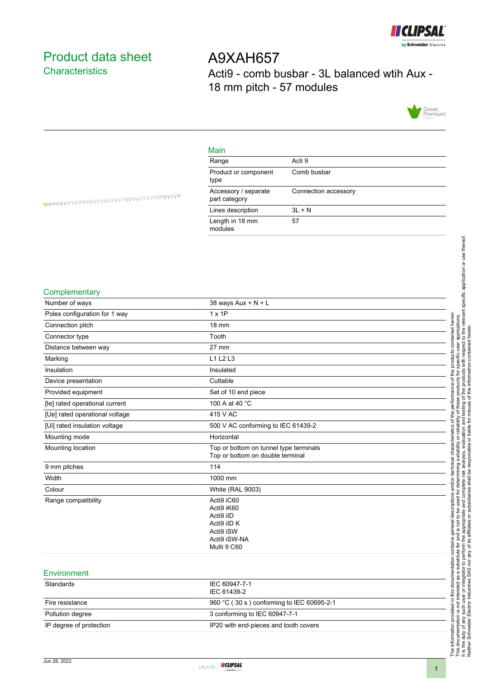

# <span id="page-0-0"></span>Product data sheet **Characteristics**

A9XAH657 Acti9 - comb busbar - 3L balanced wtih Aux - 18 mm pitch - 57 modules



#### Main

| .                                     |                      |
|---------------------------------------|----------------------|
| Range                                 | Acti 9               |
| Product or component<br>type          | Comb busbar          |
| Accessory / separate<br>part category | Connection accessory |
| Lines description                     | $3L + N$             |
| Length in 18 mm<br>modules            | 57                   |

<u>konneniineenimeenineet</u>

#### **Complementary**

| Number of ways                 | 38 ways Aux + N + L                                                                              |
|--------------------------------|--------------------------------------------------------------------------------------------------|
| Poles configuration for 1 way  | $1 \times 1P$                                                                                    |
| Connection pitch               | 18 mm                                                                                            |
| Connector type                 | Tooth                                                                                            |
| Distance between way           | 27 mm                                                                                            |
| Marking                        | L1 L2 L3                                                                                         |
| Insulation                     | Insulated                                                                                        |
| Device presentation            | Cuttable                                                                                         |
| Provided equipment             | Set of 10 end piece                                                                              |
| [le] rated operational current | 100 A at 40 °C                                                                                   |
| [Ue] rated operational voltage | 415 V AC                                                                                         |
| [Ui] rated insulation voltage  | 500 V AC conforming to IEC 61439-2                                                               |
| Mounting mode                  | Horizontal                                                                                       |
| Mounting location              | Top or bottom on tunnel type terminals<br>Top or bottom on double terminal                       |
| 9 mm pitches                   | 114                                                                                              |
| Width                          | 1000 mm                                                                                          |
| Colour                         | White (RAL 9003)                                                                                 |
| Range compatibility            | Acti9 iC60<br>Acti9 iK60<br>Acti9 iID<br>Acti9 iID K<br>Acti9 iSW<br>Acti9 iSW-NA<br>Multi 9 C60 |
| Environment                    |                                                                                                  |
| Standards                      | IEC 60947-7-1<br>IEC 61439-2                                                                     |
| Fire resistance                | 960 °C (30 s) conforming to IEC 60695-2-1                                                        |
| Pollution degree               | 3 conforming to IEC 60947-7-1                                                                    |
| IP degree of protection        | IP20 with end-pieces and tooth covers                                                            |